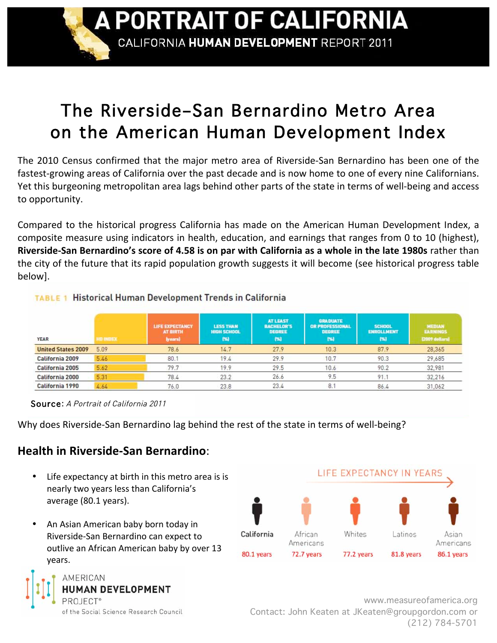A PORTRAIT OF CALIFORNIA

CALIFORNIA HUMAN DEVELOPMENT REPORT 2011

# The Riverside–San Bernardino Metro Area on the American Human Development Index

The 2010 Census confirmed that the major metro area of Riverside-San Bernardino has been one of the fastest-growing areas of California over the past decade and is now home to one of every nine Californians. Yet this burgeoning metropolitan area lags behind other parts of the state in terms of well-being and access to
opportunity.

Compared to the historical progress California has made on the American Human Development Index, a composite measure using indicators in health, education, and earnings that ranges from 0 to 10 (highest), Riverside-San Bernardino's score of 4.58 is on par with California as a whole in the late 1980s rather than the
city
of
the
future
that
its
rapid
population
growth
suggests
it
will
become
(see
historical
progress
table below].

|      | <b>LIFE EXPECTANCY</b><br><b>AT BIRTH</b> | <b>LESS THAN</b><br><b>HIGH SCHOOL</b> | <b>AT LEAST</b><br><b>BACHELOR'S</b><br><b>DEGREE</b> | <b>GRADUATE</b><br>OR PROFESSIONAL<br><b>DESREE</b>       | <b>SCHOOL</b><br><b>ENROLLMENT</b> | MEDIAN<br><b>EARNINGS</b><br>[2009 dottars] |
|------|-------------------------------------------|----------------------------------------|-------------------------------------------------------|-----------------------------------------------------------|------------------------------------|---------------------------------------------|
| 5.09 | 78.6                                      | 14.7                                   | 27.9                                                  | 10.3                                                      | 87.9                               | 28,365                                      |
| 5.46 | 80.1                                      | 19.4                                   | 29.9                                                  | 10.7                                                      | 90.3                               | 29,685                                      |
| 5.62 | 79.7                                      | 19.9                                   | 29.5                                                  | 10.6                                                      | 90.2                               | 32,981                                      |
| 5.31 | 78.4                                      | 23.2                                   | 26.6                                                  | 9.5                                                       | 91.1                               | 32,216                                      |
| 4.64 | 76.0                                      | 23.8                                   | 23.4                                                  | 8.1                                                       | 86.4                               | 31,062                                      |
|      | HD INDEX                                  | (years)                                | [36]                                                  | Historical Human Development Trends in California<br>[56] | [56]                               | (96)                                        |

Source: A Portrait of California 2011

Why does Riverside-San Bernardino lag behind the rest of the state in terms of well-being?

## **Health
in
Riverside‐San
Bernardino**:

- Life expectancy at birth in this metro area is is nearly
two
years
less
than
California's average
(80.1
years).
- An Asian American baby born today in Riverside‐San
Bernardino
can
expect
to outlive
an
African
American
baby
by
over
13 years.